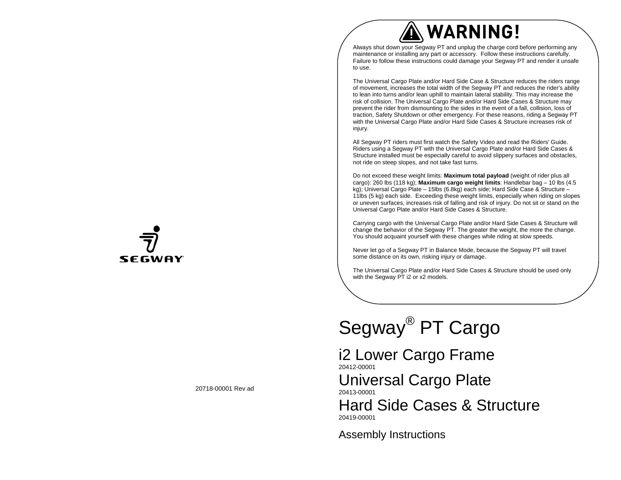# WARNING!

Always shut down your Segway PT and unplug the charge cord before performing any maintenance or installing any part or accessory. Follow these instructions carefully. Failure to follow these instructions could damage your Segway PT and render it unsafe to use.

The Universal Cargo Plate and/or Hard Side Case & Structure reduces the riders range of movement, increases the total width of the Segway PT and reduces the rider's ability to lean into turns and/or lean uphill to maintain lateral stability. This may increase the risk of collision. The Universal Cargo Plate and/or Hard Side Cases & Structure may prevent the rider from dismounting to the sides in the event of a fall, collision, loss of traction, Safety Shutdown or other emergency. For these reasons, riding a Segway PT with the Universal Cargo Plate and/or Hard Side Cases & Structure increases risk of injury.

All Segway PT riders must first watch the Safety Video and read the Riders' Guide. Riders using a Segway PT with the Universal Cargo Plate and/or Hard Side Cases & Structure installed must be especially careful to avoid slippery surfaces and obstacles, not ride on steep slopes, and not take fast turns.

Do not exceed these weight limits: **Maximum total payload** (weight of rider plus all cargo): 260 lbs (118 kg); **Maximum cargo weight limits**: Handlebar bag – 10 lbs (4.5 kg); Universal Cargo Plate – 15lbs (6.8kg) each side; Hard Side Case & Structure – 11lbs (5 kg) each side. Exceeding these weight limits, especially when riding on slopes or uneven surfaces, increases risk of falling and risk of injury. Do not sit or stand on the Universal Cargo Plate and/or Hard Side Cases & Structure.

Carrying cargo with the Universal Cargo Plate and/or Hard Side Cases & Structure will change the behavior of the Segway PT. The greater the weight, the more the change. You should acquaint yourself with these changes while riding at slow speeds.

Never let go of a Segway PT in Balance Mode, because the Segway PT will travel some distance on its own, risking injury or damage.

The Universal Cargo Plate and/or Hard Side Cases & Structure should be used only with the Segway PT i2 or x2 models.

# Segway® PT Cargo

i2 Lower Cargo Frame 20412-00001

Universal Cargo Plate 20413-00001

Hard Side Cases & Structure 20419-00001

Assembly Instructions



20718-00001 Rev ad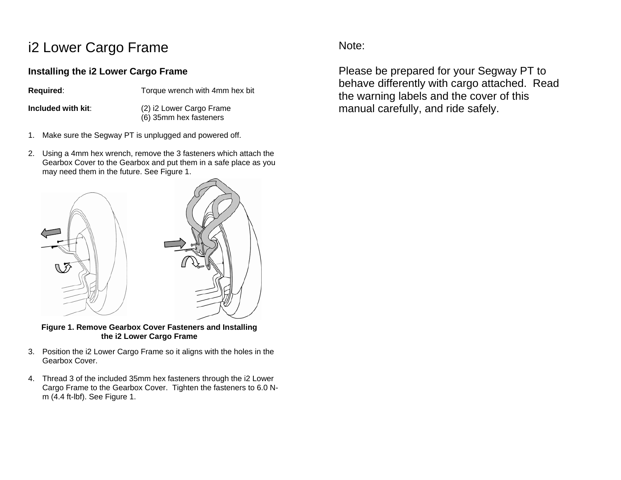# i2 Lower Cargo Frame

# **Installing the i2 Lower Cargo Frame**

**Required:** Torque wrench with 4mm hex bit

**Included with kit**: (2) i2 Lower Cargo Frame (6) 35mm hex fasteners

- 1. Make sure the Segway PT is unplugged and powered off.
- 2. Using a 4mm hex wrench, remove the 3 fasteners which attach the Gearbox Cover to the Gearbox and put them in a safe place as you may need them in the future. See Figure 1.



**Figure 1. Remove Gearbox Cover Fasteners and Installing the i2 Lower Cargo Frame** 

- 3. Position the i2 Lower Cargo Frame so it aligns with the holes in the Gearbox Cover.
- 4. Thread 3 of the included 35mm hex fasteners through the i2 Lower Cargo Frame to the Gearbox Cover. Tighten the fasteners to 6.0 Nm (4.4 ft-lbf). See Figure 1.

Note:

Please be prepared for your Segway PT to behave differently with cargo attached. Read the warning labels and the cover of this manual carefully, and ride safely.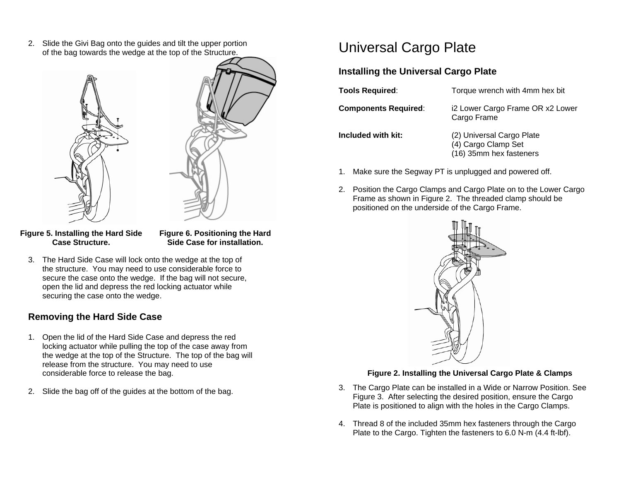2. Slide the Givi Bag onto the guides and tilt the upper portion of the bag towards the wedge at the top of the Structure.



**Figure 5. Installing the Hard Side Case Structure.** 

**Figure 6. Positioning the Hard Side Case for installation.** 

3. The Hard Side Case will lock onto the wedge at the top of the structure. You may need to use considerable force to secure the case onto the wedge. If the bag will not secure, open the lid and depress the red locking actuator while securing the case onto the wedge.

# **Removing the Hard Side Case**

- 1. Open the lid of the Hard Side Case and depress the red locking actuator while pulling the top of the case away from the wedge at the top of the Structure. The top of the bag will release from the structure. You may need to use considerable force to release the bag.
- 2. Slide the bag off of the guides at the bottom of the bag.

# Universal Cargo Plate

# **Installing the Universal Cargo Plate**

| Tools Required:             | Torque wrench with 4mm hex bit                                              |
|-----------------------------|-----------------------------------------------------------------------------|
| <b>Components Required:</b> | i2 Lower Cargo Frame OR x2 Lower<br>Cargo Frame                             |
| Included with kit:          | (2) Universal Cargo Plate<br>(4) Cargo Clamp Set<br>(16) 35mm hex fasteners |

- 1. Make sure the Segway PT is unplugged and powered off.
- 2. Position the Cargo Clamps and Cargo Plate on to the Lower Cargo Frame as shown in Figure 2. The threaded clamp should be positioned on the underside of the Cargo Frame.



### **Figure 2. Installing the Universal Cargo Plate & Clamps**

- 3. The Cargo Plate can be installed in a Wide or Narrow Position. See Figure 3. After selecting the desired position, ensure the Cargo Plate is positioned to align with the holes in the Cargo Clamps.
- 4. Thread 8 of the included 35mm hex fasteners through the Cargo Plate to the Cargo. Tighten the fasteners to 6.0 N-m (4.4 ft-lbf).